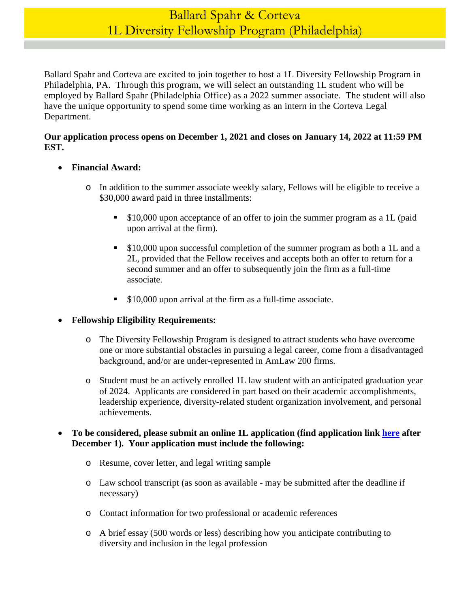# Ballard Spahr & Corteva 1L Diversity Fellowship Program (Philadelphia)

Ballard Spahr and Corteva are excited to join together to host a 1L Diversity Fellowship Program in Philadelphia, PA. Through this program, we will select an outstanding 1L student who will be employed by Ballard Spahr (Philadelphia Office) as a 2022 summer associate. The student will also have the unique opportunity to spend some time working as an intern in the Corteva Legal Department.

#### **Our application process opens on December 1, 2021 and closes on January 14, 2022 at 11:59 PM EST.**

- **Financial Award:** 
	- o In addition to the summer associate weekly salary, Fellows will be eligible to receive a \$30,000 award paid in three installments:
		- **S10,000 upon acceptance of an offer to join the summer program as a 1L (paid** upon arrival at the firm).
		- \$10,000 upon successful completion of the summer program as both a 1L and a 2L, provided that the Fellow receives and accepts both an offer to return for a second summer and an offer to subsequently join the firm as a full-time associate.
		- **S10,000 upon arrival at the firm as a full-time associate.**

#### **Fellowship Eligibility Requirements:**

- o The Diversity Fellowship Program is designed to attract students who have overcome one or more substantial obstacles in pursuing a legal career, come from a disadvantaged background, and/or are under-represented in AmLaw 200 firms.
- o Student must be an actively enrolled 1L law student with an anticipated graduation year of 2024. Applicants are considered in part based on their academic accomplishments, leadership experience, diversity-related student organization involvement, and personal achievements.

#### **To be considered, please submit an online 1L application (find application link [here](https://www.ballardspahr.com/Careers/Law-Students/Law-Students-Apply) after December 1). Your application must include the following:**

- o Resume, cover letter, and legal writing sample
- o Law school transcript (as soon as available may be submitted after the deadline if necessary)
- o Contact information for two professional or academic references
- o A brief essay (500 words or less) describing how you anticipate contributing to diversity and inclusion in the legal profession